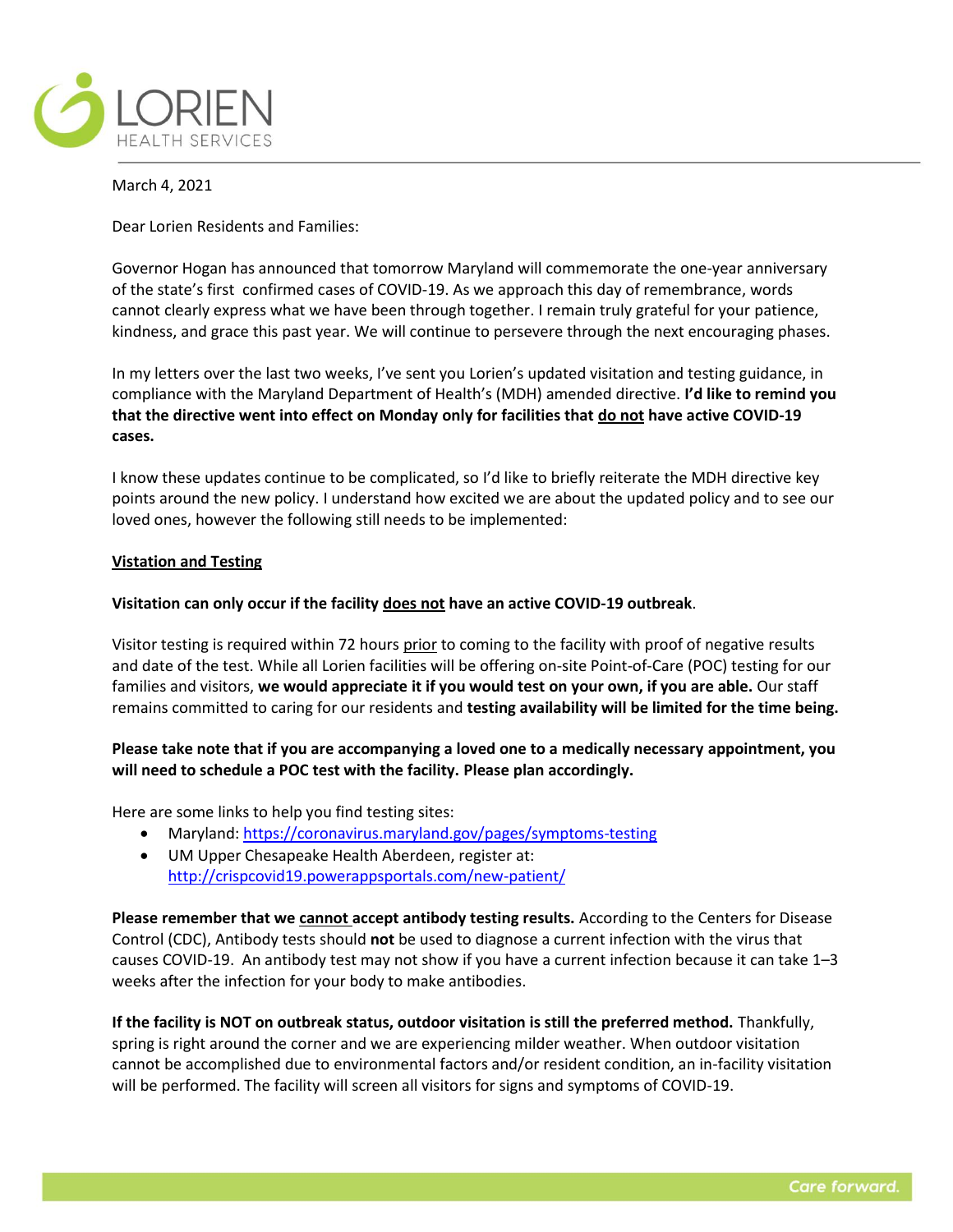

March 4, 2021

Dear Lorien Residents and Families:

Governor Hogan has announced that tomorrow Maryland will commemorate the one-year anniversary of the state's first confirmed cases of COVID-19. As we approach this day of remembrance, words cannot clearly express what we have been through together. I remain truly grateful for your patience, kindness, and grace this past year. We will continue to persevere through the next encouraging phases.

In my letters over the last two weeks, I've sent you Lorien's updated visitation and testing guidance, in compliance with the Maryland Department of Health's (MDH) amended directive. **I'd like to remind you that the directive went into effect on Monday only for facilities that do not have active COVID-19 cases.**

I know these updates continue to be complicated, so I'd like to briefly reiterate the MDH directive key points around the new policy. I understand how excited we are about the updated policy and to see our loved ones, however the following still needs to be implemented:

## **Vistation and Testing**

## **Visitation can only occur if the facility does not have an active COVID-19 outbreak**.

Visitor testing is required within 72 hours prior to coming to the facility with proof of negative results and date of the test. While all Lorien facilities will be offering on-site Point-of-Care (POC) testing for our families and visitors, **we would appreciate it if you would test on your own, if you are able.** Our staff remains committed to caring for our residents and **testing availability will be limited for the time being.** 

## **Please take note that if you are accompanying a loved one to a medically necessary appointment, you will need to schedule a POC test with the facility. Please plan accordingly.**

Here are some links to help you find testing sites:

- Maryland:<https://coronavirus.maryland.gov/pages/symptoms-testing>
- UM Upper Chesapeake Health Aberdeen, register at: <http://crispcovid19.powerappsportals.com/new-patient/>

**Please remember that we cannot accept antibody testing results.** According to the Centers for Disease Control (CDC), Antibody tests should **not** be used to diagnose a current infection with the virus that causes COVID-19. An antibody test may not show if you have a current infection because it can take 1–3 weeks after the infection for your body to make antibodies.

**If the facility is NOT on outbreak status, outdoor visitation is still the preferred method.** Thankfully, spring is right around the corner and we are experiencing milder weather. When outdoor visitation cannot be accomplished due to environmental factors and/or resident condition, an in-facility visitation will be performed. The facility will screen all visitors for signs and symptoms of COVID-19.